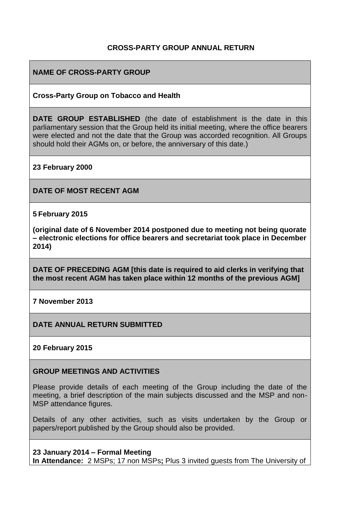### **CROSS-PARTY GROUP ANNUAL RETURN**

### **NAME OF CROSS-PARTY GROUP**

#### **Cross-Party Group on Tobacco and Health**

**DATE GROUP ESTABLISHED** (the date of establishment is the date in this parliamentary session that the Group held its initial meeting, where the office bearers were elected and not the date that the Group was accorded recognition. All Groups should hold their AGMs on, or before, the anniversary of this date.)

**23 February 2000**

**DATE OF MOST RECENT AGM**

**5 February 2015**

**(original date of 6 November 2014 postponed due to meeting not being quorate – electronic elections for office bearers and secretariat took place in December 2014)**

**DATE OF PRECEDING AGM [this date is required to aid clerks in verifying that the most recent AGM has taken place within 12 months of the previous AGM]**

**7 November 2013**

**DATE ANNUAL RETURN SUBMITTED**

**20 February 2015**

#### **GROUP MEETINGS AND ACTIVITIES**

Please provide details of each meeting of the Group including the date of the meeting, a brief description of the main subjects discussed and the MSP and non-MSP attendance figures.

Details of any other activities, such as visits undertaken by the Group or papers/report published by the Group should also be provided.

#### **23 January 2014 – Formal Meeting**

**In Attendance:** 2 MSPs; 17 non MSPs**;** Plus 3 invited guests from The University of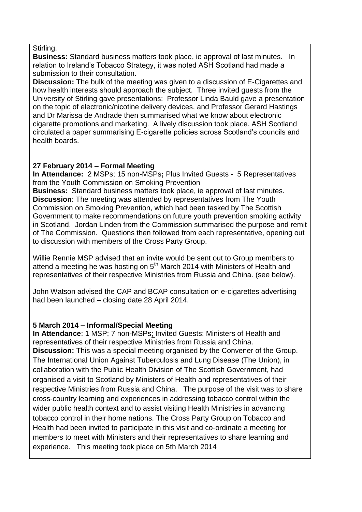#### Stirling.

**Business:** Standard business matters took place, ie approval of last minutes. In relation to Ireland's Tobacco Strategy, it was noted ASH Scotland had made a submission to their consultation.

**Discussion:** The bulk of the meeting was given to a discussion of E-Cigarettes and how health interests should approach the subject. Three invited guests from the University of Stirling gave presentations: Professor Linda Bauld gave a presentation on the topic of electronic/nicotine delivery devices, and Professor Gerard Hastings and Dr Marissa de Andrade then summarised what we know about electronic cigarette promotions and marketing. A lively discussion took place. ASH Scotland circulated a paper summarising E-cigarette policies across Scotland's councils and health boards.

### **27 February 2014 – Formal Meeting**

**In Attendance:** 2 MSPs; 15 non-MSPs**;** Plus Invited Guests - 5 Representatives from the Youth Commission on Smoking Prevention

**Business:** Standard business matters took place, ie approval of last minutes. **Discussion**: The meeting was attended by representatives from The Youth Commission on Smoking Prevention, which had been tasked by The Scottish Government to make recommendations on future youth prevention smoking activity in Scotland. Jordan Linden from the Commission summarised the purpose and remit of The Commission. Questions then followed from each representative, opening out to discussion with members of the Cross Party Group.

Willie Rennie MSP advised that an invite would be sent out to Group members to attend a meeting he was hosting on  $5<sup>th</sup>$  March 2014 with Ministers of Health and representatives of their respective Ministries from Russia and China. (see below).

John Watson advised the CAP and BCAP consultation on e-cigarettes advertising had been launched – closing date 28 April 2014.

#### **5 March 2014 – Informal/Special Meeting**

**In Attendance**: 1 MSP; 7 non-MSPs; Invited Guests: Ministers of Health and representatives of their respective Ministries from Russia and China. **Discussion:** This was a special meeting organised by the Convener of the Group. The International Union Against Tuberculosis and Lung Disease (The Union), in collaboration with the Public Health Division of The Scottish Government, had organised a visit to Scotland by Ministers of Health and representatives of their respective Ministries from Russia and China. The purpose of the visit was to share cross-country learning and experiences in addressing tobacco control within the wider public health context and to assist visiting Health Ministries in advancing tobacco control in their home nations. The Cross Party Group on Tobacco and Health had been invited to participate in this visit and co-ordinate a meeting for members to meet with Ministers and their representatives to share learning and experience. This meeting took place on 5th March 2014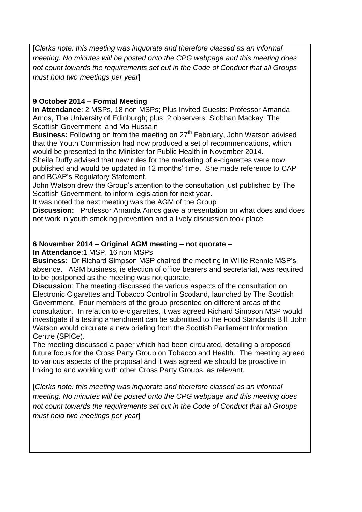[*Clerks note: this meeting was inquorate and therefore classed as an informal meeting. No minutes will be posted onto the CPG webpage and this meeting does not count towards the requirements set out in the Code of Conduct that all Groups must hold two meetings per year*]

## **9 October 2014 – Formal Meeting**

**In Attendance**: 2 MSPs, 18 non MSPs; Plus Invited Guests: Professor Amanda Amos, The University of Edinburgh; plus 2 observers: Siobhan Mackay, The Scottish Government and Mo Hussain

**Business:** Following on from the meeting on 27<sup>th</sup> February, John Watson advised that the Youth Commission had now produced a set of recommendations, which would be presented to the Minister for Public Health in November 2014.

Sheila Duffy advised that new rules for the marketing of e-cigarettes were now published and would be updated in 12 months' time. She made reference to CAP and BCAP's Regulatory Statement.

John Watson drew the Group's attention to the consultation just published by The Scottish Government, to inform legislation for next year.

It was noted the next meeting was the AGM of the Group

**Discussion:** Professor Amanda Amos gave a presentation on what does and does not work in youth smoking prevention and a lively discussion took place.

## **6 November 2014 – Original AGM meeting – not quorate –**

**In Attendance**:1 MSP, 16 non MSPs

**Business:** Dr Richard Simpson MSP chaired the meeting in Willie Rennie MSP's absence. AGM business, ie election of office bearers and secretariat, was required to be postponed as the meeting was not quorate.

**Discussion**: The meeting discussed the various aspects of the consultation on Electronic Cigarettes and Tobacco Control in Scotland, launched by The Scottish Government. Four members of the group presented on different areas of the consultation. In relation to e-cigarettes, it was agreed Richard Simpson MSP would investigate if a testing amendment can be submitted to the Food Standards Bill; John Watson would circulate a new briefing from the Scottish Parliament Information Centre (SPICe).

The meeting discussed a paper which had been circulated, detailing a proposed future focus for the Cross Party Group on Tobacco and Health. The meeting agreed to various aspects of the proposal and it was agreed we should be proactive in linking to and working with other Cross Party Groups, as relevant.

[*Clerks note: this meeting was inquorate and therefore classed as an informal meeting. No minutes will be posted onto the CPG webpage and this meeting does not count towards the requirements set out in the Code of Conduct that all Groups must hold two meetings per year*]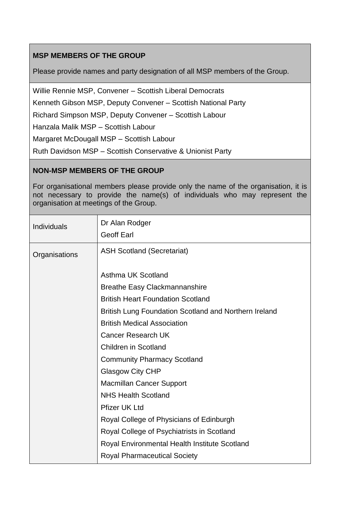# **MSP MEMBERS OF THE GROUP**

Please provide names and party designation of all MSP members of the Group.

Willie Rennie MSP, Convener – Scottish Liberal Democrats

Kenneth Gibson MSP, Deputy Convener – Scottish National Party

Richard Simpson MSP, Deputy Convener – Scottish Labour

Hanzala Malik MSP – Scottish Labour

Margaret McDougall MSP – Scottish Labour

Ruth Davidson MSP – Scottish Conservative & Unionist Party

## **NON-MSP MEMBERS OF THE GROUP**

For organisational members please provide only the name of the organisation, it is not necessary to provide the name(s) of individuals who may represent the organisation at meetings of the Group.

| <b>Individuals</b> | Dr Alan Rodger<br><b>Geoff Earl</b>                   |
|--------------------|-------------------------------------------------------|
| Organisations      | <b>ASH Scotland (Secretariat)</b>                     |
|                    | Asthma UK Scotland                                    |
|                    | <b>Breathe Easy Clackmannanshire</b>                  |
|                    | <b>British Heart Foundation Scotland</b>              |
|                    | British Lung Foundation Scotland and Northern Ireland |
|                    | <b>British Medical Association</b>                    |
|                    | <b>Cancer Research UK</b>                             |
|                    | <b>Children in Scotland</b>                           |
|                    | <b>Community Pharmacy Scotland</b>                    |
|                    | <b>Glasgow City CHP</b>                               |
|                    | <b>Macmillan Cancer Support</b>                       |
|                    | <b>NHS Health Scotland</b>                            |
|                    | <b>Pfizer UK Ltd</b>                                  |
|                    | Royal College of Physicians of Edinburgh              |
|                    | Royal College of Psychiatrists in Scotland            |
|                    | Royal Environmental Health Institute Scotland         |
|                    | <b>Royal Pharmaceutical Society</b>                   |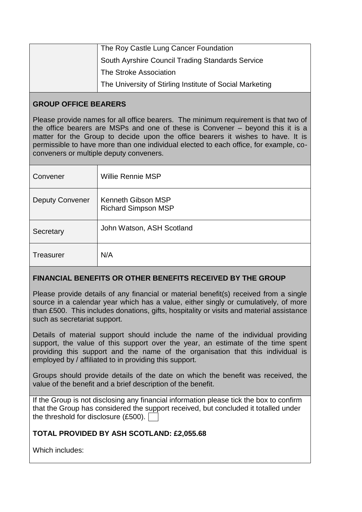| The Roy Castle Lung Cancer Foundation                    |
|----------------------------------------------------------|
| South Ayrshire Council Trading Standards Service         |
| The Stroke Association                                   |
| The University of Stirling Institute of Social Marketing |

### **GROUP OFFICE BEARERS**

Please provide names for all office bearers. The minimum requirement is that two of the office bearers are MSPs and one of these is Convener – beyond this it is a matter for the Group to decide upon the office bearers it wishes to have. It is permissible to have more than one individual elected to each office, for example, coconveners or multiple deputy conveners.

| Convener               | Willie Rennie MSP                                |
|------------------------|--------------------------------------------------|
| <b>Deputy Convener</b> | Kenneth Gibson MSP<br><b>Richard Simpson MSP</b> |
| Secretary              | John Watson, ASH Scotland                        |
| <b>Treasurer</b>       | N/A                                              |

## **FINANCIAL BENEFITS OR OTHER BENEFITS RECEIVED BY THE GROUP**

Please provide details of any financial or material benefit(s) received from a single source in a calendar year which has a value, either singly or cumulatively, of more than £500. This includes donations, gifts, hospitality or visits and material assistance such as secretariat support.

Details of material support should include the name of the individual providing support, the value of this support over the year, an estimate of the time spent providing this support and the name of the organisation that this individual is employed by / affiliated to in providing this support.

Groups should provide details of the date on which the benefit was received, the value of the benefit and a brief description of the benefit.

If the Group is not disclosing any financial information please tick the box to confirm that the Group has considered the support received, but concluded it totalled under the threshold for disclosure (£500).

# **TOTAL PROVIDED BY ASH SCOTLAND: £2,055.68**

Which includes: